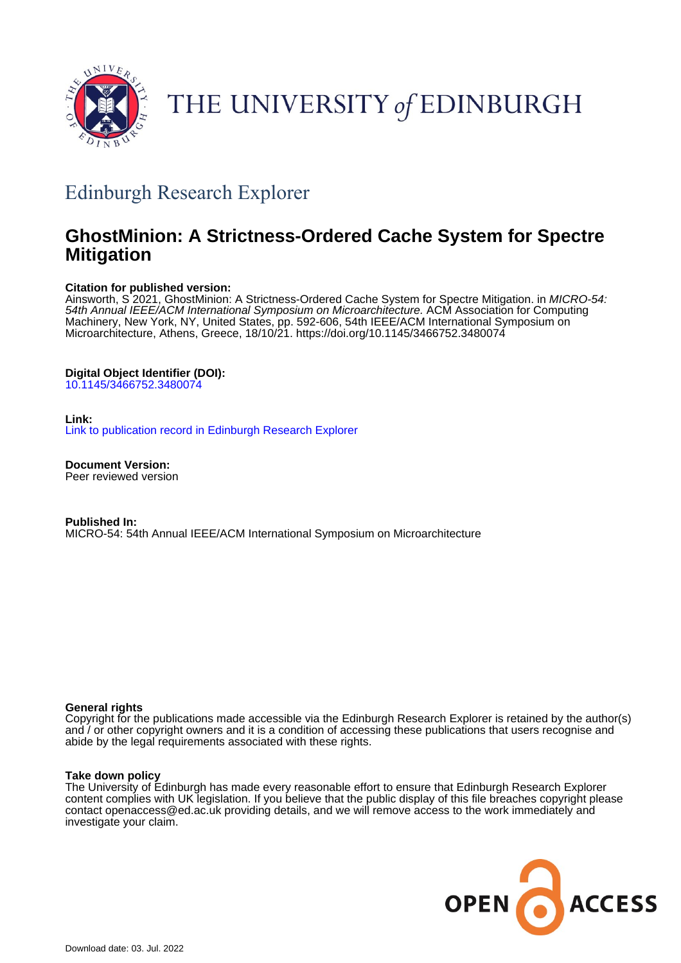

# THE UNIVERSITY of EDINBURGH

## Edinburgh Research Explorer

## **GhostMinion: A Strictness-Ordered Cache System for Spectre Mitigation**

#### **Citation for published version:**

Ainsworth, S<sup>'</sup>2021, GhostMinion: A Strictness-Ordered Cache System for Spectre Mitigation. in MICRO-54: 54th Annual IEEE/ACM International Symposium on Microarchitecture. ACM Association for Computing Machinery, New York, NY, United States, pp. 592-606, 54th IEEE/ACM International Symposium on Microarchitecture, Athens, Greece, 18/10/21. <https://doi.org/10.1145/3466752.3480074>

### **Digital Object Identifier (DOI):**

[10.1145/3466752.3480074](https://doi.org/10.1145/3466752.3480074)

#### **Link:**

[Link to publication record in Edinburgh Research Explorer](https://www.research.ed.ac.uk/en/publications/9aa9d308-a0d7-4f4a-a439-5d8598a6beef)

**Document Version:** Peer reviewed version

**Published In:** MICRO-54: 54th Annual IEEE/ACM International Symposium on Microarchitecture

#### **General rights**

Copyright for the publications made accessible via the Edinburgh Research Explorer is retained by the author(s) and / or other copyright owners and it is a condition of accessing these publications that users recognise and abide by the legal requirements associated with these rights.

#### **Take down policy**

The University of Edinburgh has made every reasonable effort to ensure that Edinburgh Research Explorer content complies with UK legislation. If you believe that the public display of this file breaches copyright please contact openaccess@ed.ac.uk providing details, and we will remove access to the work immediately and investigate your claim.

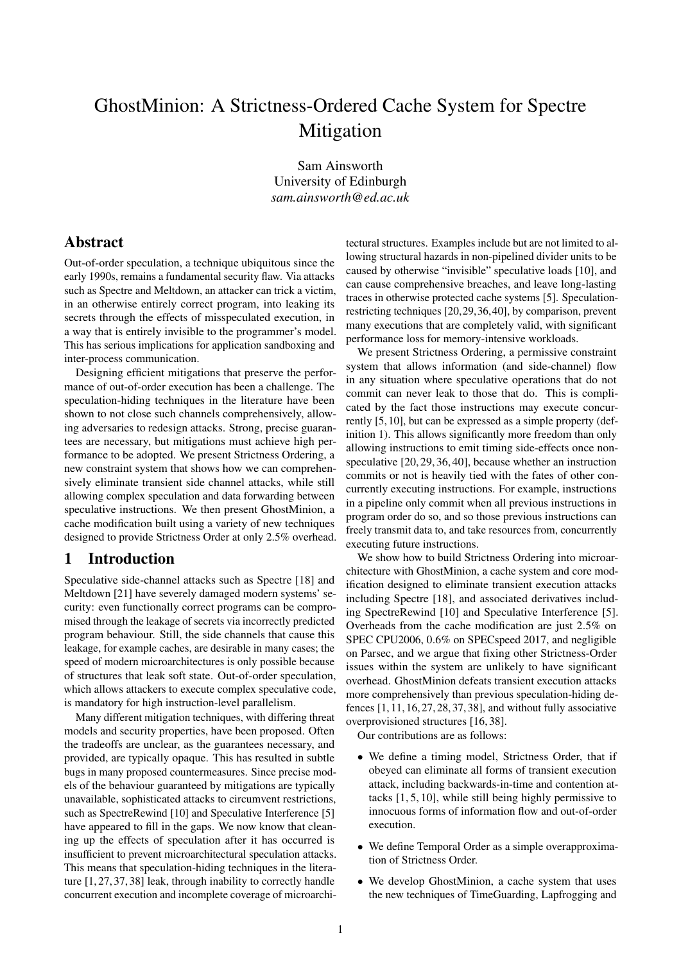## GhostMinion: A Strictness-Ordered Cache System for Spectre Mitigation

Sam Ainsworth University of Edinburgh *sam.ainsworth@ed.ac.uk*

## Abstract

Out-of-order speculation, a technique ubiquitous since the early 1990s, remains a fundamental security flaw. Via attacks such as Spectre and Meltdown, an attacker can trick a victim, in an otherwise entirely correct program, into leaking its secrets through the effects of misspeculated execution, in a way that is entirely invisible to the programmer's model. This has serious implications for application sandboxing and inter-process communication.

Designing efficient mitigations that preserve the performance of out-of-order execution has been a challenge. The speculation-hiding techniques in the literature have been shown to not close such channels comprehensively, allowing adversaries to redesign attacks. Strong, precise guarantees are necessary, but mitigations must achieve high performance to be adopted. We present Strictness Ordering, a new constraint system that shows how we can comprehensively eliminate transient side channel attacks, while still allowing complex speculation and data forwarding between speculative instructions. We then present GhostMinion, a cache modification built using a variety of new techniques designed to provide Strictness Order at only 2.5% overhead.

## 1 Introduction

Speculative side-channel attacks such as Spectre [18] and Meltdown [21] have severely damaged modern systems' security: even functionally correct programs can be compromised through the leakage of secrets via incorrectly predicted program behaviour. Still, the side channels that cause this leakage, for example caches, are desirable in many cases; the speed of modern microarchitectures is only possible because of structures that leak soft state. Out-of-order speculation, which allows attackers to execute complex speculative code, is mandatory for high instruction-level parallelism.

Many different mitigation techniques, with differing threat models and security properties, have been proposed. Often the tradeoffs are unclear, as the guarantees necessary, and provided, are typically opaque. This has resulted in subtle bugs in many proposed countermeasures. Since precise models of the behaviour guaranteed by mitigations are typically unavailable, sophisticated attacks to circumvent restrictions, such as SpectreRewind [10] and Speculative Interference [5] have appeared to fill in the gaps. We now know that cleaning up the effects of speculation after it has occurred is insufficient to prevent microarchitectural speculation attacks. This means that speculation-hiding techniques in the literature [1, 27, 37, 38] leak, through inability to correctly handle concurrent execution and incomplete coverage of microarchitectural structures. Examples include but are not limited to allowing structural hazards in non-pipelined divider units to be caused by otherwise "invisible" speculative loads [10], and can cause comprehensive breaches, and leave long-lasting traces in otherwise protected cache systems [5]. Speculationrestricting techniques [20,29,36,40], by comparison, prevent many executions that are completely valid, with significant performance loss for memory-intensive workloads.

We present Strictness Ordering, a permissive constraint system that allows information (and side-channel) flow in any situation where speculative operations that do not commit can never leak to those that do. This is complicated by the fact those instructions may execute concurrently [5, 10], but can be expressed as a simple property (definition 1). This allows significantly more freedom than only allowing instructions to emit timing side-effects once nonspeculative [20, 29, 36, 40], because whether an instruction commits or not is heavily tied with the fates of other concurrently executing instructions. For example, instructions in a pipeline only commit when all previous instructions in program order do so, and so those previous instructions can freely transmit data to, and take resources from, concurrently executing future instructions.

We show how to build Strictness Ordering into microarchitecture with GhostMinion, a cache system and core modification designed to eliminate transient execution attacks including Spectre [18], and associated derivatives including SpectreRewind [10] and Speculative Interference [5]. Overheads from the cache modification are just 2.5% on SPEC CPU2006, 0.6% on SPECspeed 2017, and negligible on Parsec, and we argue that fixing other Strictness-Order issues within the system are unlikely to have significant overhead. GhostMinion defeats transient execution attacks more comprehensively than previous speculation-hiding defences [1, 11, 16, 27, 28, 37, 38], and without fully associative overprovisioned structures [16, 38].

Our contributions are as follows:

- We define a timing model, Strictness Order, that if obeyed can eliminate all forms of transient execution attack, including backwards-in-time and contention attacks [1, 5, 10], while still being highly permissive to innocuous forms of information flow and out-of-order execution.
- We define Temporal Order as a simple overapproximation of Strictness Order.
- We develop GhostMinion, a cache system that uses the new techniques of TimeGuarding, Lapfrogging and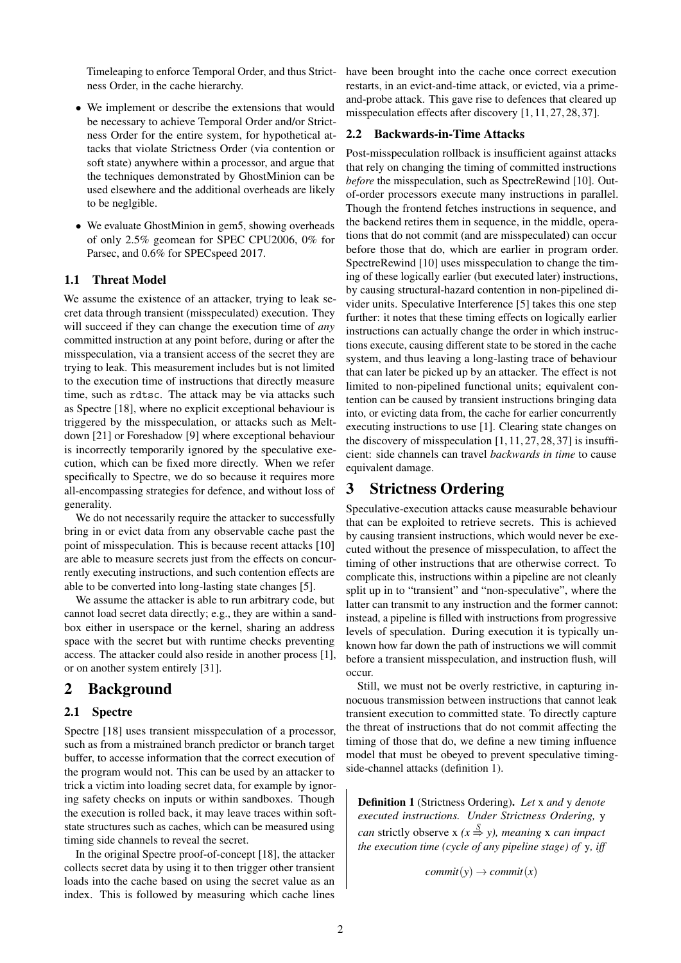ness Order, in the cache hierarchy.

- We implement or describe the extensions that would be necessary to achieve Temporal Order and/or Strictness Order for the entire system, for hypothetical attacks that violate Strictness Order (via contention or soft state) anywhere within a processor, and argue that the techniques demonstrated by GhostMinion can be used elsewhere and the additional overheads are likely to be neglgible.
- We evaluate GhostMinion in gem5, showing overheads of only 2.5% geomean for SPEC CPU2006, 0% for Parsec, and 0.6% for SPECspeed 2017.

#### 1.1 Threat Model

We assume the existence of an attacker, trying to leak secret data through transient (misspeculated) execution. They will succeed if they can change the execution time of *any* committed instruction at any point before, during or after the misspeculation, via a transient access of the secret they are trying to leak. This measurement includes but is not limited to the execution time of instructions that directly measure time, such as rdtsc. The attack may be via attacks such as Spectre [18], where no explicit exceptional behaviour is triggered by the misspeculation, or attacks such as Meltdown [21] or Foreshadow [9] where exceptional behaviour is incorrectly temporarily ignored by the speculative execution, which can be fixed more directly. When we refer specifically to Spectre, we do so because it requires more all-encompassing strategies for defence, and without loss of generality.

We do not necessarily require the attacker to successfully bring in or evict data from any observable cache past the point of misspeculation. This is because recent attacks [10] are able to measure secrets just from the effects on concurrently executing instructions, and such contention effects are able to be converted into long-lasting state changes [5].

We assume the attacker is able to run arbitrary code, but cannot load secret data directly; e.g., they are within a sandbox either in userspace or the kernel, sharing an address space with the secret but with runtime checks preventing access. The attacker could also reside in another process [1], or on another system entirely [31].

### 2 Background

#### 2.1 Spectre

Spectre [18] uses transient misspeculation of a processor, such as from a mistrained branch predictor or branch target buffer, to accesse information that the correct execution of the program would not. This can be used by an attacker to trick a victim into loading secret data, for example by ignoring safety checks on inputs or within sandboxes. Though the execution is rolled back, it may leave traces within softstate structures such as caches, which can be measured using timing side channels to reveal the secret.

In the original Spectre proof-of-concept [18], the attacker collects secret data by using it to then trigger other transient loads into the cache based on using the secret value as an index. This is followed by measuring which cache lines

Timeleaping to enforce Temporal Order, and thus Strict-have been brought into the cache once correct execution restarts, in an evict-and-time attack, or evicted, via a primeand-probe attack. This gave rise to defences that cleared up misspeculation effects after discovery [1, 11, 27, 28, 37].

#### 2.2 Backwards-in-Time Attacks

Post-misspeculation rollback is insufficient against attacks that rely on changing the timing of committed instructions *before* the misspeculation, such as SpectreRewind [10]. Outof-order processors execute many instructions in parallel. Though the frontend fetches instructions in sequence, and the backend retires them in sequence, in the middle, operations that do not commit (and are misspeculated) can occur before those that do, which are earlier in program order. SpectreRewind [10] uses misspeculation to change the timing of these logically earlier (but executed later) instructions, by causing structural-hazard contention in non-pipelined divider units. Speculative Interference [5] takes this one step further: it notes that these timing effects on logically earlier instructions can actually change the order in which instructions execute, causing different state to be stored in the cache system, and thus leaving a long-lasting trace of behaviour that can later be picked up by an attacker. The effect is not limited to non-pipelined functional units; equivalent contention can be caused by transient instructions bringing data into, or evicting data from, the cache for earlier concurrently executing instructions to use [1]. Clearing state changes on the discovery of misspeculation  $[1, 11, 27, 28, 37]$  is insufficient: side channels can travel *backwards in time* to cause equivalent damage.

## 3 Strictness Ordering

Speculative-execution attacks cause measurable behaviour that can be exploited to retrieve secrets. This is achieved by causing transient instructions, which would never be executed without the presence of misspeculation, to affect the timing of other instructions that are otherwise correct. To complicate this, instructions within a pipeline are not cleanly split up in to "transient" and "non-speculative", where the latter can transmit to any instruction and the former cannot: instead, a pipeline is filled with instructions from progressive levels of speculation. During execution it is typically unknown how far down the path of instructions we will commit before a transient misspeculation, and instruction flush, will occur.

Still, we must not be overly restrictive, in capturing innocuous transmission between instructions that cannot leak transient execution to committed state. To directly capture the threat of instructions that do not commit affecting the timing of those that do, we define a new timing influence model that must be obeyed to prevent speculative timingside-channel attacks (definition 1).

Definition 1 (Strictness Ordering). *Let* x *and* y *denote executed instructions. Under Strictness Ordering,* y *can* strictly observe  $x$  ( $x \stackrel{S}{\Rightarrow} y$ ), meaning x *can impact the execution time (cycle of any pipeline stage) of* y*, iff*

 $commit(y) \rightarrow commit(x)$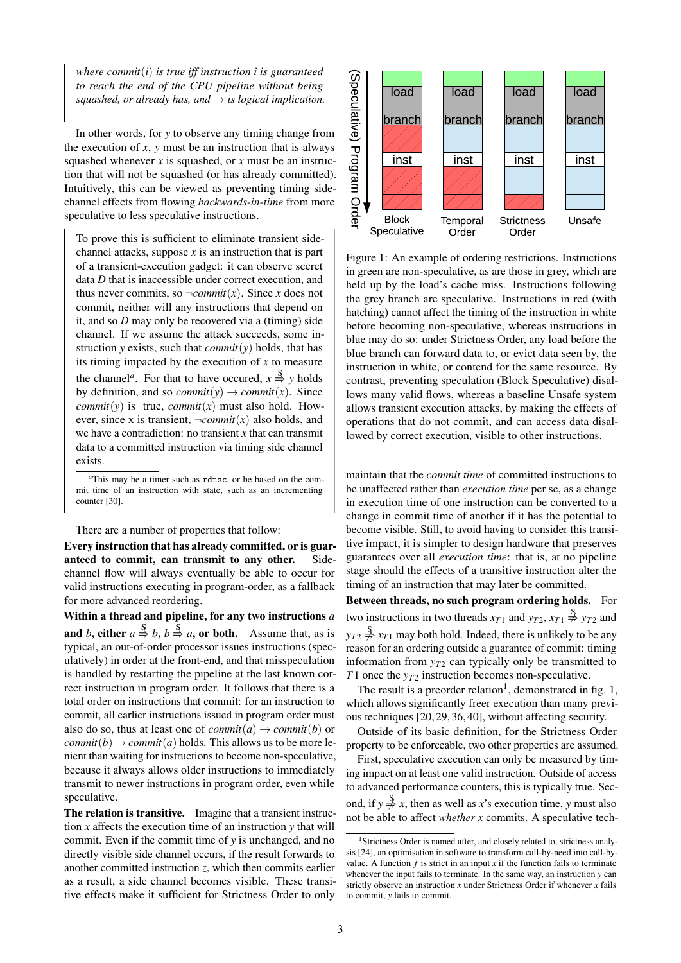*where commit*(*i*) *is true iff instruction i is guaranteed to reach the end of the CPU pipeline without being squashed, or already has, and*  $\rightarrow$  *is logical implication.* 

In other words, for *y* to observe any timing change from the execution of  $x$ ,  $y$  must be an instruction that is always squashed whenever *x* is squashed, or *x* must be an instruction that will not be squashed (or has already committed). Intuitively, this can be viewed as preventing timing sidechannel effects from flowing *backwards-in-time* from more speculative to less speculative instructions.

To prove this is sufficient to eliminate transient sidechannel attacks, suppose *x* is an instruction that is part of a transient-execution gadget: it can observe secret data *D* that is inaccessible under correct execution, and thus never commits, so  $\neg$ *commit*(*x*). Since *x* does not commit, neither will any instructions that depend on it, and so *D* may only be recovered via a (timing) side channel. If we assume the attack succeeds, some instruction *y* exists, such that *commit* $(y)$  holds, that has its timing impacted by the execution of *x* to measure the channel<sup>*a*</sup>. For that to have occured,  $x \stackrel{\text{S}}{\Rightarrow} y$  holds by definition, and so *commit*(*y*)  $\rightarrow$  *commit*(*x*). Since *commit*( $y$ ) is true, *commit*( $x$ ) must also hold. However, since x is transient,  $\neg commit(x)$  also holds, and we have a contradiction: no transient *x* that can transmit data to a committed instruction via timing side channel exists.

There are a number of properties that follow:

Every instruction that has already committed, or is guaranteed to commit, can transmit to any other. Sidechannel flow will always eventually be able to occur for valid instructions executing in program-order, as a fallback for more advanced reordering.

Within a thread and pipeline, for any two instructions *a* and *b*, either  $a \stackrel{\mathbf{S}}{\Rightarrow} b$ ,  $b \stackrel{\mathbf{S}}{\Rightarrow} a$ , or both. Assume that, as is typical, an out-of-order processor issues instructions (speculatively) in order at the front-end, and that misspeculation is handled by restarting the pipeline at the last known correct instruction in program order. It follows that there is a total order on instructions that commit: for an instruction to commit, all earlier instructions issued in program order must also do so, thus at least one of  $commit(a) \rightarrow commit(b)$  or *commit*(*b*)  $\rightarrow$  *commit*(*a*) holds. This allows us to be more lenient than waiting for instructions to become non-speculative, because it always allows older instructions to immediately transmit to newer instructions in program order, even while speculative.

The relation is transitive. Imagine that a transient instruction *x* affects the execution time of an instruction *y* that will commit. Even if the commit time of *y* is unchanged, and no directly visible side channel occurs, if the result forwards to another committed instruction *z*, which then commits earlier as a result, a side channel becomes visible. These transitive effects make it sufficient for Strictness Order to only



Figure 1: An example of ordering restrictions. Instructions in green are non-speculative, as are those in grey, which are held up by the load's cache miss. Instructions following the grey branch are speculative. Instructions in red (with hatching) cannot affect the timing of the instruction in white before becoming non-speculative, whereas instructions in blue may do so: under Strictness Order, any load before the blue branch can forward data to, or evict data seen by, the instruction in white, or contend for the same resource. By contrast, preventing speculation (Block Speculative) disallows many valid flows, whereas a baseline Unsafe system allows transient execution attacks, by making the effects of operations that do not commit, and can access data disallowed by correct execution, visible to other instructions.

maintain that the *commit time* of committed instructions to be unaffected rather than *execution time* per se, as a change in execution time of one instruction can be converted to a change in commit time of another if it has the potential to become visible. Still, to avoid having to consider this transitive impact, it is simpler to design hardware that preserves guarantees over all *execution time*: that is, at no pipeline stage should the effects of a transitive instruction alter the timing of an instruction that may later be committed.

Between threads, no such program ordering holds. For two instructions in two threads  $x_{T1}$  and  $y_{T2}$ ,  $x_{T1} \overset{S}{\neq} y_{T2}$  and  $y_{T2} \neq y_{T1}$  may both hold. Indeed, there is unlikely to be any reason for an ordering outside a guarantee of commit: timing information from  $y_{T2}$  can typically only be transmitted to *T*1 once the *yT*<sup>2</sup> instruction becomes non-speculative.

The result is a preorder relation<sup>1</sup>, demonstrated in fig. 1, which allows significantly freer execution than many previous techniques [20, 29, 36, 40], without affecting security.

Outside of its basic definition, for the Strictness Order property to be enforceable, two other properties are assumed.

First, speculative execution can only be measured by timing impact on at least one valid instruction. Outside of access to advanced performance counters, this is typically true. Second, if  $y \overset{S}{\neq} x$ , then as well as *x*'s execution time, *y* must also not be able to affect *whether x* commits. A speculative tech-

*<sup>a</sup>*This may be a timer such as rdtsc, or be based on the commit time of an instruction with state, such as an incrementing counter [30].

<sup>&</sup>lt;sup>1</sup>Strictness Order is named after, and closely related to, strictness analysis [24], an optimisation in software to transform call-by-need into call-byvalue. A function  $f$  is strict in an input  $x$  if the function fails to terminate whenever the input fails to terminate. In the same way, an instruction *y* can strictly observe an instruction *x* under Strictness Order if whenever *x* fails to commit, *y* fails to commit.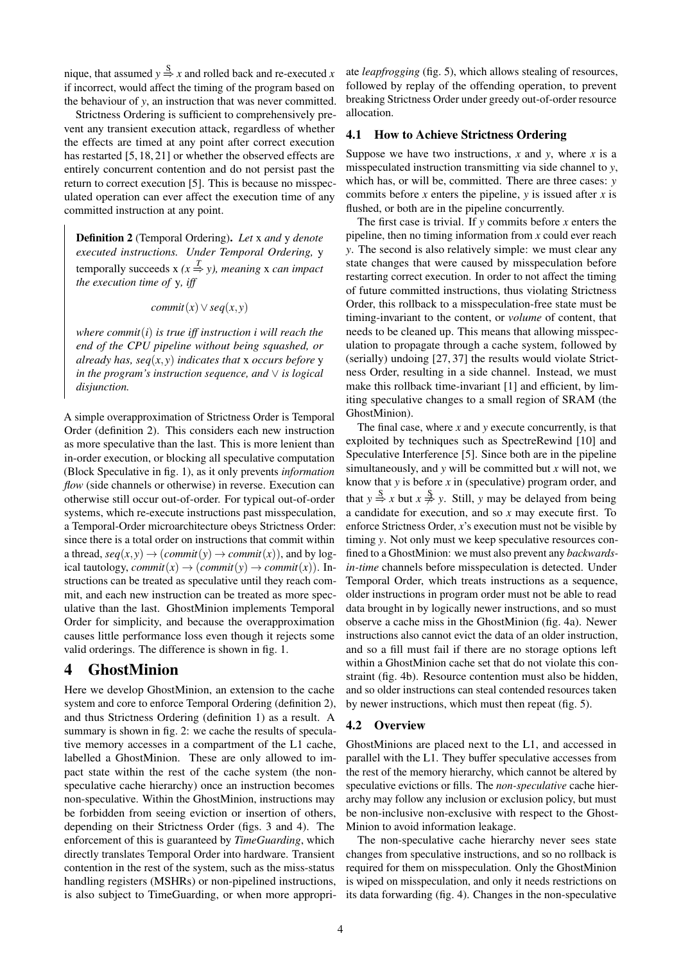nique, that assumed  $y \stackrel{S}{\Rightarrow} x$  and rolled back and re-executed *x* if incorrect, would affect the timing of the program based on the behaviour of *y*, an instruction that was never committed.

Strictness Ordering is sufficient to comprehensively prevent any transient execution attack, regardless of whether the effects are timed at any point after correct execution has restarted [5, 18, 21] or whether the observed effects are entirely concurrent contention and do not persist past the return to correct execution [5]. This is because no misspeculated operation can ever affect the execution time of any committed instruction at any point.

Definition 2 (Temporal Ordering). *Let* x *and* y *denote executed instructions. Under Temporal Ordering,* y temporally succeeds  $x$  ( $x \stackrel{T}{\Rightarrow} y$ ), *meaning* x *can impact the execution time of* y*, iff*

 $commit(x) \vee seq(x, y)$ 

*where commit*(*i*) *is true iff instruction i will reach the end of the CPU pipeline without being squashed, or already has, seq*(*x*, *y*) *indicates that* x *occurs before* y *in the program's instruction sequence, and* ∨ *is logical disjunction.*

A simple overapproximation of Strictness Order is Temporal Order (definition 2). This considers each new instruction as more speculative than the last. This is more lenient than in-order execution, or blocking all speculative computation (Block Speculative in fig. 1), as it only prevents *information flow* (side channels or otherwise) in reverse. Execution can otherwise still occur out-of-order. For typical out-of-order systems, which re-execute instructions past misspeculation, a Temporal-Order microarchitecture obeys Strictness Order: since there is a total order on instructions that commit within a thread,  $seq(x, y) \rightarrow (commit(y) \rightarrow commit(x))$ , and by logical tautology,  $commit(x) \rightarrow (commit(y) \rightarrow commit(x))$ . Instructions can be treated as speculative until they reach commit, and each new instruction can be treated as more speculative than the last. GhostMinion implements Temporal Order for simplicity, and because the overapproximation causes little performance loss even though it rejects some valid orderings. The difference is shown in fig. 1.

## 4 GhostMinion

Here we develop GhostMinion, an extension to the cache system and core to enforce Temporal Ordering (definition 2), and thus Strictness Ordering (definition 1) as a result. A summary is shown in fig. 2: we cache the results of speculative memory accesses in a compartment of the L1 cache, labelled a GhostMinion. These are only allowed to impact state within the rest of the cache system (the nonspeculative cache hierarchy) once an instruction becomes non-speculative. Within the GhostMinion, instructions may be forbidden from seeing eviction or insertion of others, depending on their Strictness Order (figs. 3 and 4). The enforcement of this is guaranteed by *TimeGuarding*, which directly translates Temporal Order into hardware. Transient contention in the rest of the system, such as the miss-status handling registers (MSHRs) or non-pipelined instructions, is also subject to TimeGuarding, or when more appropriate *leapfrogging* (fig. 5), which allows stealing of resources, followed by replay of the offending operation, to prevent breaking Strictness Order under greedy out-of-order resource allocation.

#### 4.1 How to Achieve Strictness Ordering

Suppose we have two instructions, *x* and *y*, where *x* is a misspeculated instruction transmitting via side channel to *y*, which has, or will be, committed. There are three cases: *y* commits before *x* enters the pipeline, *y* is issued after *x* is flushed, or both are in the pipeline concurrently.

The first case is trivial. If *y* commits before *x* enters the pipeline, then no timing information from *x* could ever reach *y*. The second is also relatively simple: we must clear any state changes that were caused by misspeculation before restarting correct execution. In order to not affect the timing of future committed instructions, thus violating Strictness Order, this rollback to a misspeculation-free state must be timing-invariant to the content, or *volume* of content, that needs to be cleaned up. This means that allowing misspeculation to propagate through a cache system, followed by (serially) undoing [27, 37] the results would violate Strictness Order, resulting in a side channel. Instead, we must make this rollback time-invariant [1] and efficient, by limiting speculative changes to a small region of SRAM (the GhostMinion).

The final case, where *x* and *y* execute concurrently, is that exploited by techniques such as SpectreRewind [10] and Speculative Interference [5]. Since both are in the pipeline simultaneously, and *y* will be committed but *x* will not, we know that *y* is before *x* in (speculative) program order, and that  $y \stackrel{S}{\Rightarrow} x$  but  $x \stackrel{S}{\Rightarrow} y$ . Still, *y* may be delayed from being a candidate for execution, and so *x* may execute first. To enforce Strictness Order, *x*'s execution must not be visible by timing *y*. Not only must we keep speculative resources confined to a GhostMinion: we must also prevent any *backwardsin-time* channels before misspeculation is detected. Under Temporal Order, which treats instructions as a sequence, older instructions in program order must not be able to read data brought in by logically newer instructions, and so must observe a cache miss in the GhostMinion (fig. 4a). Newer instructions also cannot evict the data of an older instruction, and so a fill must fail if there are no storage options left within a GhostMinion cache set that do not violate this constraint (fig. 4b). Resource contention must also be hidden, and so older instructions can steal contended resources taken by newer instructions, which must then repeat (fig. 5).

#### 4.2 Overview

GhostMinions are placed next to the L1, and accessed in parallel with the L1. They buffer speculative accesses from the rest of the memory hierarchy, which cannot be altered by speculative evictions or fills. The *non-speculative* cache hierarchy may follow any inclusion or exclusion policy, but must be non-inclusive non-exclusive with respect to the Ghost-Minion to avoid information leakage.

The non-speculative cache hierarchy never sees state changes from speculative instructions, and so no rollback is required for them on misspeculation. Only the GhostMinion is wiped on misspeculation, and only it needs restrictions on its data forwarding (fig. 4). Changes in the non-speculative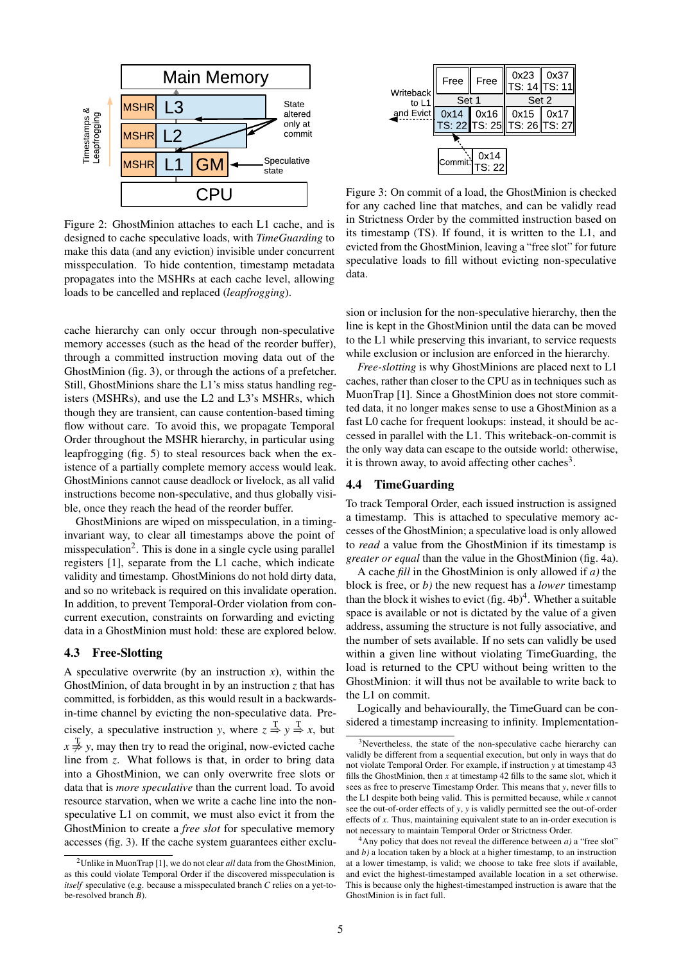

Figure 2: GhostMinion attaches to each L1 cache, and is designed to cache speculative loads, with *TimeGuarding* to make this data (and any eviction) invisible under concurrent misspeculation. To hide contention, timestamp metadata propagates into the MSHRs at each cache level, allowing loads to be cancelled and replaced (*leapfrogging*).

cache hierarchy can only occur through non-speculative memory accesses (such as the head of the reorder buffer), through a committed instruction moving data out of the GhostMinion (fig. 3), or through the actions of a prefetcher. Still, GhostMinions share the L1's miss status handling registers (MSHRs), and use the L2 and L3's MSHRs, which though they are transient, can cause contention-based timing flow without care. To avoid this, we propagate Temporal Order throughout the MSHR hierarchy, in particular using leapfrogging (fig. 5) to steal resources back when the existence of a partially complete memory access would leak. GhostMinions cannot cause deadlock or livelock, as all valid instructions become non-speculative, and thus globally visible, once they reach the head of the reorder buffer.

GhostMinions are wiped on misspeculation, in a timinginvariant way, to clear all timestamps above the point of misspeculation<sup>2</sup>. This is done in a single cycle using parallel registers [1], separate from the L1 cache, which indicate validity and timestamp. GhostMinions do not hold dirty data, and so no writeback is required on this invalidate operation. In addition, to prevent Temporal-Order violation from concurrent execution, constraints on forwarding and evicting data in a GhostMinion must hold: these are explored below.

#### 4.3 Free-Slotting

A speculative overwrite (by an instruction  $x$ ), within the GhostMinion, of data brought in by an instruction *z* that has committed, is forbidden, as this would result in a backwardsin-time channel by evicting the non-speculative data. Precisely, a speculative instruction *y*, where  $z \stackrel{T}{\Rightarrow} y \stackrel{T}{\Rightarrow} x$ , but  $x \neq y$ , may then try to read the original, now-evicted cache line from *z*. What follows is that, in order to bring data into a GhostMinion, we can only overwrite free slots or data that is *more speculative* than the current load. To avoid resource starvation, when we write a cache line into the nonspeculative L1 on commit, we must also evict it from the GhostMinion to create a *free slot* for speculative memory accesses (fig. 3). If the cache system guarantees either exclu-

| Writeback<br>to L1 | Free   | Free   | 0x23<br>TS: 14 TS: 11         | $\vert x_0 \rangle$ |  |  |
|--------------------|--------|--------|-------------------------------|---------------------|--|--|
|                    | Set 1  |        | Set 2                         |                     |  |  |
| and Evict          | 0x14   | 0x16   | 0x15                          | 0x17                |  |  |
|                    |        |        | TS: 22∥TS: 25∥ TS: 26∥TS: 27∣ |                     |  |  |
|                    |        |        |                               |                     |  |  |
|                    | Commit | 0x14   |                               |                     |  |  |
|                    |        | TS: 22 |                               |                     |  |  |

Figure 3: On commit of a load, the GhostMinion is checked for any cached line that matches, and can be validly read in Strictness Order by the committed instruction based on its timestamp (TS). If found, it is written to the L1, and evicted from the GhostMinion, leaving a "free slot" for future speculative loads to fill without evicting non-speculative data.

sion or inclusion for the non-speculative hierarchy, then the line is kept in the GhostMinion until the data can be moved to the L1 while preserving this invariant, to service requests while exclusion or inclusion are enforced in the hierarchy.

*Free-slotting* is why GhostMinions are placed next to L1 caches, rather than closer to the CPU as in techniques such as MuonTrap [1]. Since a GhostMinion does not store committed data, it no longer makes sense to use a GhostMinion as a fast L0 cache for frequent lookups: instead, it should be accessed in parallel with the L1. This writeback-on-commit is the only way data can escape to the outside world: otherwise, it is thrown away, to avoid affecting other caches<sup>3</sup>.

#### 4.4 TimeGuarding

To track Temporal Order, each issued instruction is assigned a timestamp. This is attached to speculative memory accesses of the GhostMinion; a speculative load is only allowed to *read* a value from the GhostMinion if its timestamp is *greater or equal* than the value in the GhostMinion (fig. 4a).

A cache *fill* in the GhostMinion is only allowed if *a)* the block is free, or *b)* the new request has a *lower* timestamp than the block it wishes to evict  $(f\mathbf{g}, 4\mathbf{b})^4$ . Whether a suitable space is available or not is dictated by the value of a given address, assuming the structure is not fully associative, and the number of sets available. If no sets can validly be used within a given line without violating TimeGuarding, the load is returned to the CPU without being written to the GhostMinion: it will thus not be available to write back to the L1 on commit.

Logically and behaviourally, the TimeGuard can be considered a timestamp increasing to infinity. Implementation-

<sup>2</sup>Unlike in MuonTrap [1], we do not clear *all* data from the GhostMinion, as this could violate Temporal Order if the discovered misspeculation is *itself* speculative (e.g. because a misspeculated branch *C* relies on a yet-tobe-resolved branch *B*).

<sup>&</sup>lt;sup>3</sup>Nevertheless, the state of the non-speculative cache hierarchy can validly be different from a sequential execution, but only in ways that do not violate Temporal Order. For example, if instruction *y* at timestamp 43 fills the GhostMinion, then *x* at timestamp 42 fills to the same slot, which it sees as free to preserve Timestamp Order. This means that *y*, never fills to the L1 despite both being valid. This is permitted because, while *x* cannot see the out-of-order effects of *y*, *y* is validly permitted see the out-of-order effects of *x*. Thus, maintaining equivalent state to an in-order execution is not necessary to maintain Temporal Order or Strictness Order.

<sup>4</sup>Any policy that does not reveal the difference between *a)* a "free slot" and *b)* a location taken by a block at a higher timestamp, to an instruction at a lower timestamp, is valid; we choose to take free slots if available, and evict the highest-timestamped available location in a set otherwise. This is because only the highest-timestamped instruction is aware that the GhostMinion is in fact full.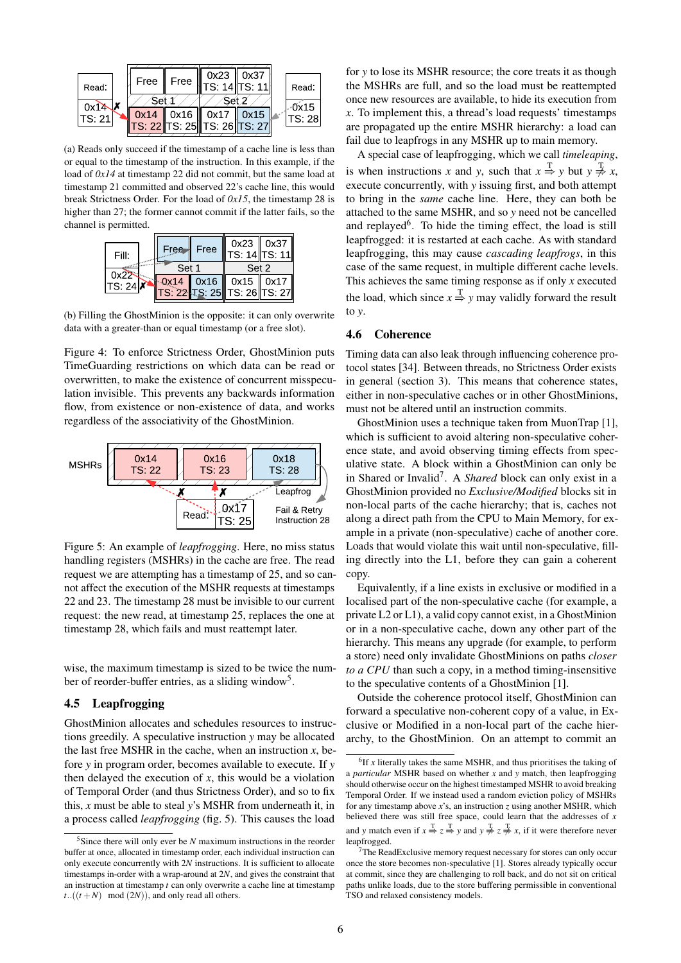

(a) Reads only succeed if the timestamp of a cache line is less than or equal to the timestamp of the instruction. In this example, if the load of *0x14* at timestamp 22 did not commit, but the same load at timestamp 21 committed and observed 22's cache line, this would break Strictness Order. For the load of *0x15*, the timestamp 28 is higher than 27; the former cannot commit if the latter fails, so the channel is permitted.

| Fill:   | Free  | Free | $0x23$   $0x37$<br> TS: 14  TS: 11 |  |
|---------|-------|------|------------------------------------|--|
|         | Set 1 |      | Set 2                              |  |
| 'TS: 24 |       |      | $0x14$ 0x16 0x15 0x17              |  |
|         |       |      | TS: 22 TS: 25 TS: 26 TS: 27        |  |

(b) Filling the GhostMinion is the opposite: it can only overwrite data with a greater-than or equal timestamp (or a free slot).

Figure 4: To enforce Strictness Order, GhostMinion puts TimeGuarding restrictions on which data can be read or overwritten, to make the existence of concurrent misspeculation invisible. This prevents any backwards information flow, from existence or non-existence of data, and works regardless of the associativity of the GhostMinion.



Figure 5: An example of *leapfrogging*. Here, no miss status handling registers (MSHRs) in the cache are free. The read request we are attempting has a timestamp of 25, and so cannot affect the execution of the MSHR requests at timestamps 22 and 23. The timestamp 28 must be invisible to our current request: the new read, at timestamp 25, replaces the one at timestamp 28, which fails and must reattempt later.

wise, the maximum timestamp is sized to be twice the number of reorder-buffer entries, as a sliding window<sup>5</sup>.

#### 4.5 Leapfrogging

GhostMinion allocates and schedules resources to instructions greedily. A speculative instruction *y* may be allocated the last free MSHR in the cache, when an instruction  $x$ , before *y* in program order, becomes available to execute. If *y* then delayed the execution of *x*, this would be a violation of Temporal Order (and thus Strictness Order), and so to fix this, *x* must be able to steal *y*'s MSHR from underneath it, in a process called *leapfrogging* (fig. 5). This causes the load for *y* to lose its MSHR resource; the core treats it as though the MSHRs are full, and so the load must be reattempted once new resources are available, to hide its execution from *x*. To implement this, a thread's load requests' timestamps are propagated up the entire MSHR hierarchy: a load can fail due to leapfrogs in any MSHR up to main memory.

A special case of leapfrogging, which we call *timeleaping*, is when instructions *x* and *y*, such that  $x \stackrel{T}{\Rightarrow} y$  but  $y \stackrel{T}{\neq} x$ , execute concurrently, with *y* issuing first, and both attempt to bring in the *same* cache line. Here, they can both be attached to the same MSHR, and so *y* need not be cancelled and replayed<sup>6</sup>. To hide the timing effect, the load is still leapfrogged: it is restarted at each cache. As with standard leapfrogging, this may cause *cascading leapfrogs*, in this case of the same request, in multiple different cache levels. This achieves the same timing response as if only *x* executed the load, which since  $x \stackrel{T}{\Rightarrow} y$  may validly forward the result to *y*.

#### 4.6 Coherence

Timing data can also leak through influencing coherence protocol states [34]. Between threads, no Strictness Order exists in general (section 3). This means that coherence states, either in non-speculative caches or in other GhostMinions, must not be altered until an instruction commits.

GhostMinion uses a technique taken from MuonTrap [1], which is sufficient to avoid altering non-speculative coherence state, and avoid observing timing effects from speculative state. A block within a GhostMinion can only be in Shared or Invalid<sup>7</sup> . A *Shared* block can only exist in a GhostMinion provided no *Exclusive/Modified* blocks sit in non-local parts of the cache hierarchy; that is, caches not along a direct path from the CPU to Main Memory, for example in a private (non-speculative) cache of another core. Loads that would violate this wait until non-speculative, filling directly into the L1, before they can gain a coherent copy.

Equivalently, if a line exists in exclusive or modified in a localised part of the non-speculative cache (for example, a private L2 or L1), a valid copy cannot exist, in a GhostMinion or in a non-speculative cache, down any other part of the hierarchy. This means any upgrade (for example, to perform a store) need only invalidate GhostMinions on paths *closer to a CPU* than such a copy, in a method timing-insensitive to the speculative contents of a GhostMinion [1].

Outside the coherence protocol itself, GhostMinion can forward a speculative non-coherent copy of a value, in Exclusive or Modified in a non-local part of the cache hierarchy, to the GhostMinion. On an attempt to commit an

<sup>&</sup>lt;sup>5</sup>Since there will only ever be *N* maximum instructions in the reorder buffer at once, allocated in timestamp order, each individual instruction can only execute concurrently with 2*N* instructions. It is sufficient to allocate timestamps in-order with a wrap-around at 2*N*, and gives the constraint that an instruction at timestamp *t* can only overwrite a cache line at timestamp  $t$ ..( $(t + N)$  mod  $(2N)$ ), and only read all others.

 ${}^{6}$ If *x* literally takes the same MSHR, and thus prioritises the taking of a *particular* MSHR based on whether *x* and *y* match, then leapfrogging should otherwise occur on the highest timestamped MSHR to avoid breaking Temporal Order. If we instead used a random eviction policy of MSHRs for any timestamp above *x*'s, an instruction *z* using another MSHR, which believed there was still free space, could learn that the addresses of *x* and *y* match even if  $x \stackrel{T}{\Rightarrow} z \stackrel{T}{\Rightarrow} y$  and  $y \stackrel{T}{\neq} z \stackrel{T}{\neq} x$ , if it were therefore never leapfrogged.

 $7$ The ReadExclusive memory request necessary for stores can only occur once the store becomes non-speculative [1]. Stores already typically occur at commit, since they are challenging to roll back, and do not sit on critical paths unlike loads, due to the store buffering permissible in conventional TSO and relaxed consistency models.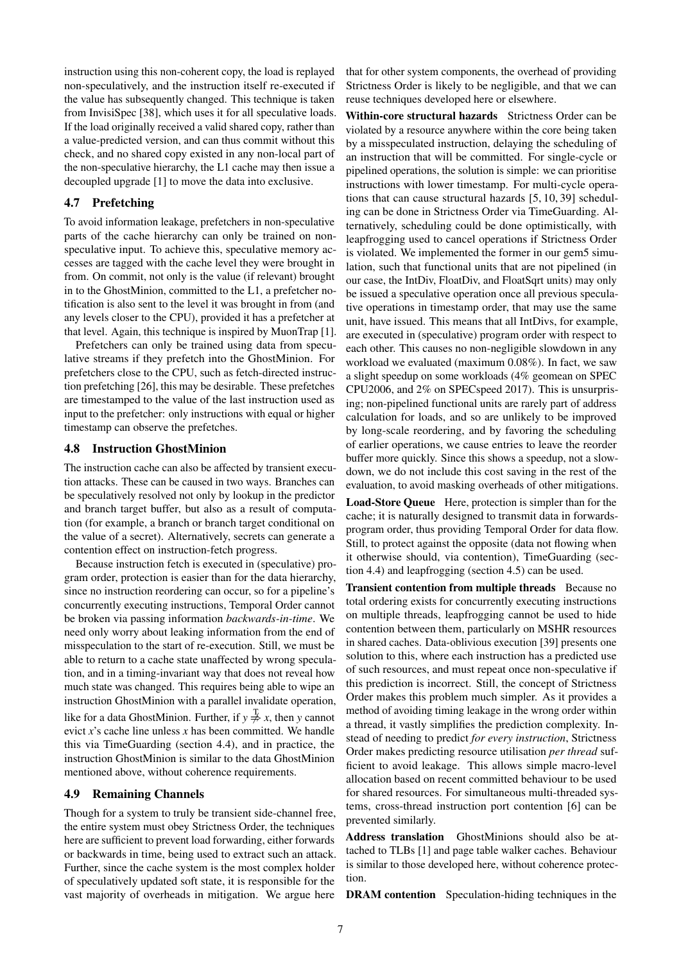instruction using this non-coherent copy, the load is replayed non-speculatively, and the instruction itself re-executed if the value has subsequently changed. This technique is taken from InvisiSpec [38], which uses it for all speculative loads. If the load originally received a valid shared copy, rather than a value-predicted version, and can thus commit without this check, and no shared copy existed in any non-local part of the non-speculative hierarchy, the L1 cache may then issue a decoupled upgrade [1] to move the data into exclusive.

#### 4.7 Prefetching

To avoid information leakage, prefetchers in non-speculative parts of the cache hierarchy can only be trained on nonspeculative input. To achieve this, speculative memory accesses are tagged with the cache level they were brought in from. On commit, not only is the value (if relevant) brought in to the GhostMinion, committed to the L1, a prefetcher notification is also sent to the level it was brought in from (and any levels closer to the CPU), provided it has a prefetcher at that level. Again, this technique is inspired by MuonTrap [1].

Prefetchers can only be trained using data from speculative streams if they prefetch into the GhostMinion. For prefetchers close to the CPU, such as fetch-directed instruction prefetching [26], this may be desirable. These prefetches are timestamped to the value of the last instruction used as input to the prefetcher: only instructions with equal or higher timestamp can observe the prefetches.

#### 4.8 Instruction GhostMinion

The instruction cache can also be affected by transient execution attacks. These can be caused in two ways. Branches can be speculatively resolved not only by lookup in the predictor and branch target buffer, but also as a result of computation (for example, a branch or branch target conditional on the value of a secret). Alternatively, secrets can generate a contention effect on instruction-fetch progress.

Because instruction fetch is executed in (speculative) program order, protection is easier than for the data hierarchy, since no instruction reordering can occur, so for a pipeline's concurrently executing instructions, Temporal Order cannot be broken via passing information *backwards-in-time*. We need only worry about leaking information from the end of misspeculation to the start of re-execution. Still, we must be able to return to a cache state unaffected by wrong speculation, and in a timing-invariant way that does not reveal how much state was changed. This requires being able to wipe an instruction GhostMinion with a parallel invalidate operation, like for a data GhostMinion. Further, if  $y \neq x$ , then *y* cannot evict *x*'s cache line unless *x* has been committed. We handle this via TimeGuarding (section 4.4), and in practice, the instruction GhostMinion is similar to the data GhostMinion mentioned above, without coherence requirements.

#### 4.9 Remaining Channels

Though for a system to truly be transient side-channel free, the entire system must obey Strictness Order, the techniques here are sufficient to prevent load forwarding, either forwards or backwards in time, being used to extract such an attack. Further, since the cache system is the most complex holder of speculatively updated soft state, it is responsible for the vast majority of overheads in mitigation. We argue here

that for other system components, the overhead of providing Strictness Order is likely to be negligible, and that we can reuse techniques developed here or elsewhere.

Within-core structural hazards Strictness Order can be violated by a resource anywhere within the core being taken by a misspeculated instruction, delaying the scheduling of an instruction that will be committed. For single-cycle or pipelined operations, the solution is simple: we can prioritise instructions with lower timestamp. For multi-cycle operations that can cause structural hazards [5, 10, 39] scheduling can be done in Strictness Order via TimeGuarding. Alternatively, scheduling could be done optimistically, with leapfrogging used to cancel operations if Strictness Order is violated. We implemented the former in our gem5 simulation, such that functional units that are not pipelined (in our case, the IntDiv, FloatDiv, and FloatSqrt units) may only be issued a speculative operation once all previous speculative operations in timestamp order, that may use the same unit, have issued. This means that all IntDivs, for example, are executed in (speculative) program order with respect to each other. This causes no non-negligible slowdown in any workload we evaluated (maximum 0.08%). In fact, we saw a slight speedup on some workloads (4% geomean on SPEC CPU2006, and 2% on SPECspeed 2017). This is unsurprising; non-pipelined functional units are rarely part of address calculation for loads, and so are unlikely to be improved by long-scale reordering, and by favoring the scheduling of earlier operations, we cause entries to leave the reorder buffer more quickly. Since this shows a speedup, not a slowdown, we do not include this cost saving in the rest of the evaluation, to avoid masking overheads of other mitigations.

Load-Store Queue Here, protection is simpler than for the cache; it is naturally designed to transmit data in forwardsprogram order, thus providing Temporal Order for data flow. Still, to protect against the opposite (data not flowing when it otherwise should, via contention), TimeGuarding (section 4.4) and leapfrogging (section 4.5) can be used.

Transient contention from multiple threads Because no total ordering exists for concurrently executing instructions on multiple threads, leapfrogging cannot be used to hide contention between them, particularly on MSHR resources in shared caches. Data-oblivious execution [39] presents one solution to this, where each instruction has a predicted use of such resources, and must repeat once non-speculative if this prediction is incorrect. Still, the concept of Strictness Order makes this problem much simpler. As it provides a method of avoiding timing leakage in the wrong order within a thread, it vastly simplifies the prediction complexity. Instead of needing to predict *for every instruction*, Strictness Order makes predicting resource utilisation *per thread* sufficient to avoid leakage. This allows simple macro-level allocation based on recent committed behaviour to be used for shared resources. For simultaneous multi-threaded systems, cross-thread instruction port contention [6] can be prevented similarly.

Address translation GhostMinions should also be attached to TLBs [1] and page table walker caches. Behaviour is similar to those developed here, without coherence protection.

DRAM contention Speculation-hiding techniques in the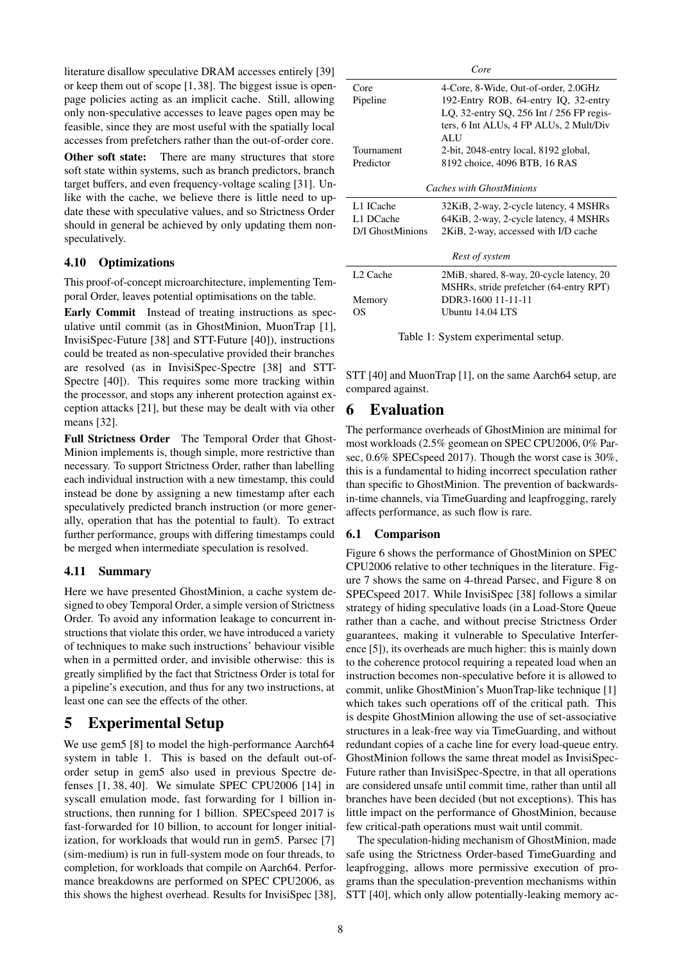literature disallow speculative DRAM accesses entirely [39] or keep them out of scope [1, 38]. The biggest issue is openpage policies acting as an implicit cache. Still, allowing only non-speculative accesses to leave pages open may be feasible, since they are most useful with the spatially local accesses from prefetchers rather than the out-of-order core.

Other soft state: There are many structures that store soft state within systems, such as branch predictors, branch target buffers, and even frequency-voltage scaling [31]. Unlike with the cache, we believe there is little need to update these with speculative values, and so Strictness Order should in general be achieved by only updating them nonspeculatively.

#### 4.10 Optimizations

This proof-of-concept microarchitecture, implementing Temporal Order, leaves potential optimisations on the table.

Early Commit Instead of treating instructions as speculative until commit (as in GhostMinion, MuonTrap [1], InvisiSpec-Future [38] and STT-Future [40]), instructions could be treated as non-speculative provided their branches are resolved (as in InvisiSpec-Spectre [38] and STT-Spectre [40]). This requires some more tracking within the processor, and stops any inherent protection against exception attacks [21], but these may be dealt with via other means [32].

Full Strictness Order The Temporal Order that Ghost-Minion implements is, though simple, more restrictive than necessary. To support Strictness Order, rather than labelling each individual instruction with a new timestamp, this could instead be done by assigning a new timestamp after each speculatively predicted branch instruction (or more generally, operation that has the potential to fault). To extract further performance, groups with differing timestamps could be merged when intermediate speculation is resolved.

#### 4.11 Summary

Here we have presented GhostMinion, a cache system designed to obey Temporal Order, a simple version of Strictness Order. To avoid any information leakage to concurrent instructions that violate this order, we have introduced a variety of techniques to make such instructions' behaviour visible when in a permitted order, and invisible otherwise: this is greatly simplified by the fact that Strictness Order is total for a pipeline's execution, and thus for any two instructions, at least one can see the effects of the other.

## 5 Experimental Setup

We use gem5 [8] to model the high-performance Aarch64 system in table 1. This is based on the default out-oforder setup in gem5 also used in previous Spectre defenses [1, 38, 40]. We simulate SPEC CPU2006 [14] in syscall emulation mode, fast forwarding for 1 billion instructions, then running for 1 billion. SPECspeed 2017 is fast-forwarded for 10 billion, to account for longer initialization, for workloads that would run in gem5. Parsec [7] (sim-medium) is run in full-system mode on four threads, to completion, for workloads that compile on Aarch64. Performance breakdowns are performed on SPEC CPU2006, as this shows the highest overhead. Results for InvisiSpec [38], STT [40], which only allow potentially-leaking memory ac-

| Core                     |                                           |  |  |  |
|--------------------------|-------------------------------------------|--|--|--|
| Core                     | 4-Core, 8-Wide, Out-of-order, 2.0GHz      |  |  |  |
| Pipeline                 | 192-Entry ROB, 64-entry IQ, 32-entry      |  |  |  |
|                          | LQ, 32-entry SQ, 256 Int / 256 FP regis-  |  |  |  |
|                          | ters, 6 Int ALUs, 4 FP ALUs, 2 Mult/Div   |  |  |  |
|                          | ALU                                       |  |  |  |
| Tournament               | 2-bit, 2048-entry local, 8192 global,     |  |  |  |
| Predictor                | 8192 choice, 4096 BTB, 16 RAS             |  |  |  |
|                          |                                           |  |  |  |
| Caches with GhostMinions |                                           |  |  |  |
| L1 ICache                | 32KiB, 2-way, 2-cycle latency, 4 MSHRs    |  |  |  |
| L1 DCache                | 64KiB, 2-way, 2-cycle latency, 4 MSHRs    |  |  |  |
| D/I GhostMinions         | 2KiB, 2-way, accessed with I/D cache      |  |  |  |
|                          |                                           |  |  |  |
| Rest of system           |                                           |  |  |  |
| L <sub>2</sub> Cache     | 2MiB, shared, 8-way, 20-cycle latency, 20 |  |  |  |
|                          | MSHRs, stride prefetcher (64-entry RPT)   |  |  |  |
| Memory                   | DDR3-1600 11-11-11                        |  |  |  |
| ΟS                       | Ubuntu 14.04 LTS                          |  |  |  |

Table 1: System experimental setup.

STT [40] and MuonTrap [1], on the same Aarch64 setup, are compared against.

## 6 Evaluation

The performance overheads of GhostMinion are minimal for most workloads (2.5% geomean on SPEC CPU2006, 0% Parsec, 0.6% SPECspeed 2017). Though the worst case is 30%, this is a fundamental to hiding incorrect speculation rather than specific to GhostMinion. The prevention of backwardsin-time channels, via TimeGuarding and leapfrogging, rarely affects performance, as such flow is rare.

#### 6.1 Comparison

Figure 6 shows the performance of GhostMinion on SPEC CPU2006 relative to other techniques in the literature. Figure 7 shows the same on 4-thread Parsec, and Figure 8 on SPECspeed 2017. While InvisiSpec [38] follows a similar strategy of hiding speculative loads (in a Load-Store Queue rather than a cache, and without precise Strictness Order guarantees, making it vulnerable to Speculative Interference [5]), its overheads are much higher: this is mainly down to the coherence protocol requiring a repeated load when an instruction becomes non-speculative before it is allowed to commit, unlike GhostMinion's MuonTrap-like technique [1] which takes such operations off of the critical path. This is despite GhostMinion allowing the use of set-associative structures in a leak-free way via TimeGuarding, and without redundant copies of a cache line for every load-queue entry. GhostMinion follows the same threat model as InvisiSpec-Future rather than InvisiSpec-Spectre, in that all operations are considered unsafe until commit time, rather than until all branches have been decided (but not exceptions). This has little impact on the performance of GhostMinion, because few critical-path operations must wait until commit.

The speculation-hiding mechanism of GhostMinion, made safe using the Strictness Order-based TimeGuarding and leapfrogging, allows more permissive execution of programs than the speculation-prevention mechanisms within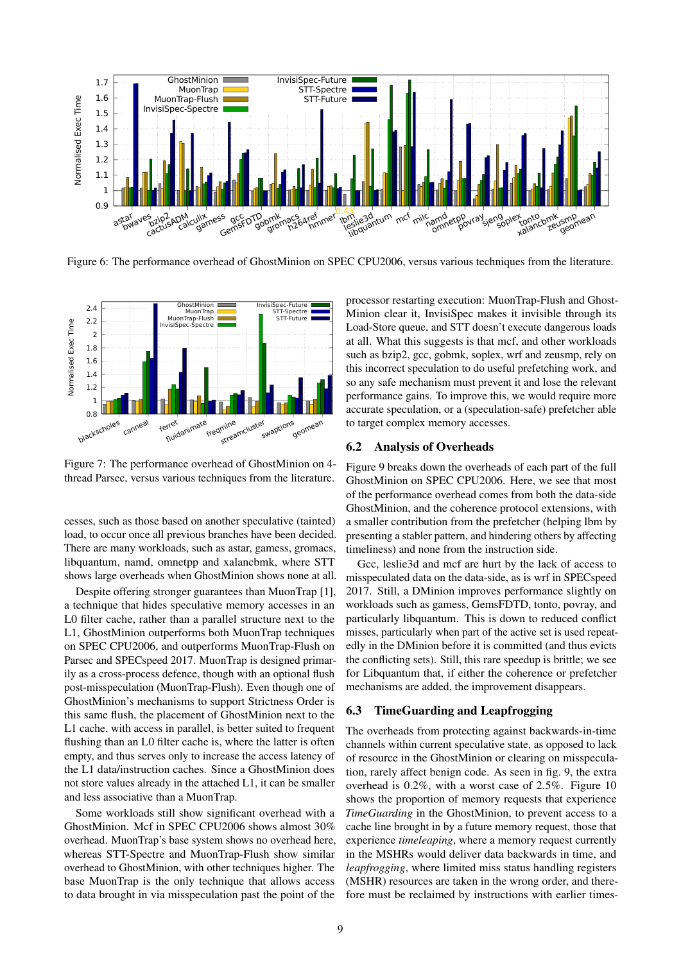

Figure 6: The performance overhead of GhostMinion on SPEC CPU2006, versus various techniques from the literature.



Figure 7: The performance overhead of GhostMinion on 4 thread Parsec, versus various techniques from the literature.

cesses, such as those based on another speculative (tainted) load, to occur once all previous branches have been decided. There are many workloads, such as astar, gamess, gromacs, libquantum, namd, omnetpp and xalancbmk, where STT shows large overheads when GhostMinion shows none at all.

Despite offering stronger guarantees than MuonTrap [1], a technique that hides speculative memory accesses in an L0 filter cache, rather than a parallel structure next to the L1, GhostMinion outperforms both MuonTrap techniques on SPEC CPU2006, and outperforms MuonTrap-Flush on Parsec and SPECspeed 2017. MuonTrap is designed primarily as a cross-process defence, though with an optional flush post-misspeculation (MuonTrap-Flush). Even though one of GhostMinion's mechanisms to support Strictness Order is this same flush, the placement of GhostMinion next to the L1 cache, with access in parallel, is better suited to frequent flushing than an L0 filter cache is, where the latter is often empty, and thus serves only to increase the access latency of the L1 data/instruction caches. Since a GhostMinion does not store values already in the attached L1, it can be smaller and less associative than a MuonTrap.

Some workloads still show significant overhead with a GhostMinion. Mcf in SPEC CPU2006 shows almost 30% overhead. MuonTrap's base system shows no overhead here, whereas STT-Spectre and MuonTrap-Flush show similar overhead to GhostMinion, with other techniques higher. The base MuonTrap is the only technique that allows access to data brought in via misspeculation past the point of the processor restarting execution: MuonTrap-Flush and Ghost-Minion clear it, InvisiSpec makes it invisible through its Load-Store queue, and STT doesn't execute dangerous loads at all. What this suggests is that mcf, and other workloads such as bzip2, gcc, gobmk, soplex, wrf and zeusmp, rely on this incorrect speculation to do useful prefetching work, and so any safe mechanism must prevent it and lose the relevant performance gains. To improve this, we would require more accurate speculation, or a (speculation-safe) prefetcher able to target complex memory accesses.

#### 6.2 Analysis of Overheads

Figure 9 breaks down the overheads of each part of the full GhostMinion on SPEC CPU2006. Here, we see that most of the performance overhead comes from both the data-side GhostMinion, and the coherence protocol extensions, with a smaller contribution from the prefetcher (helping lbm by presenting a stabler pattern, and hindering others by affecting timeliness) and none from the instruction side.

Gcc, leslie3d and mcf are hurt by the lack of access to misspeculated data on the data-side, as is wrf in SPECspeed 2017. Still, a DMinion improves performance slightly on workloads such as gamess, GemsFDTD, tonto, povray, and particularly libquantum. This is down to reduced conflict misses, particularly when part of the active set is used repeatedly in the DMinion before it is committed (and thus evicts the conflicting sets). Still, this rare speedup is brittle; we see for Libquantum that, if either the coherence or prefetcher mechanisms are added, the improvement disappears.

#### 6.3 TimeGuarding and Leapfrogging

The overheads from protecting against backwards-in-time channels within current speculative state, as opposed to lack of resource in the GhostMinion or clearing on misspeculation, rarely affect benign code. As seen in fig. 9, the extra overhead is 0.2%, with a worst case of 2.5%. Figure 10 shows the proportion of memory requests that experience *TimeGuarding* in the GhostMinion, to prevent access to a cache line brought in by a future memory request, those that experience *timeleaping*, where a memory request currently in the MSHRs would deliver data backwards in time, and *leapfrogging*, where limited miss status handling registers (MSHR) resources are taken in the wrong order, and therefore must be reclaimed by instructions with earlier times-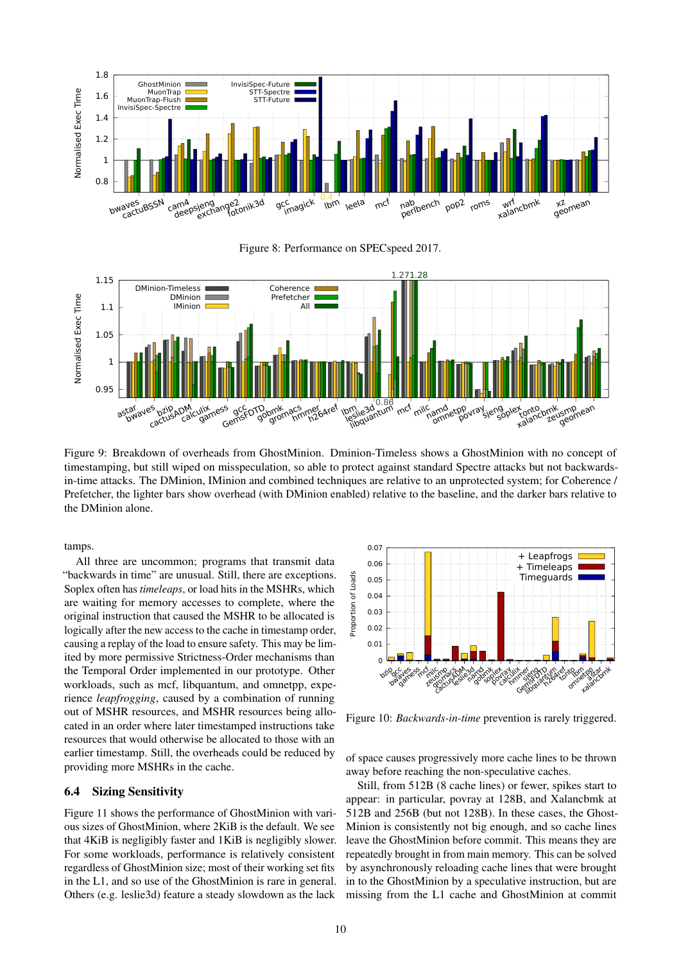





Figure 9: Breakdown of overheads from GhostMinion. Dminion-Timeless shows a GhostMinion with no concept of timestamping, but still wiped on misspeculation, so able to protect against standard Spectre attacks but not backwardsin-time attacks. The DMinion, IMinion and combined techniques are relative to an unprotected system; for Coherence / Prefetcher, the lighter bars show overhead (with DMinion enabled) relative to the baseline, and the darker bars relative to the DMinion alone.

tamps.

All three are uncommon; programs that transmit data "backwards in time" are unusual. Still, there are exceptions. Soplex often has *timeleaps*, or load hits in the MSHRs, which are waiting for memory accesses to complete, where the original instruction that caused the MSHR to be allocated is logically after the new access to the cache in timestamp order, causing a replay of the load to ensure safety. This may be limited by more permissive Strictness-Order mechanisms than the Temporal Order implemented in our prototype. Other workloads, such as mcf, libquantum, and omnetpp, experience *leapfrogging*, caused by a combination of running out of MSHR resources, and MSHR resources being allocated in an order where later timestamped instructions take resources that would otherwise be allocated to those with an earlier timestamp. Still, the overheads could be reduced by providing more MSHRs in the cache. The Temporal Order implemented in our prototype. Other<br>the Temporal Order implemented in our prototype. Other<br>workloads, such as ment, libquantum, and omnetpp, expe-<br>rience *leapfrogging*, caused by a combination of runnin

#### 6.4 Sizing Sensitivity

Figure 11 shows the performance of GhostMinion with various sizes of GhostMinion, where 2KiB is the default. We see that 4KiB is negligibly faster and 1KiB is negligibly slower. For some workloads, performance is relatively consistent regardless of GhostMinion size; most of their working set fits in the L1, and so use of the GhostMinion is rare in general.



Figure 10: *Backwards-in-time* prevention is rarely triggered.

of space causes progressively more cache lines to be thrown away before reaching the non-speculative caches.

Still, from 512B (8 cache lines) or fewer, spikes start to appear: in particular, povray at 128B, and Xalancbmk at 512B and 256B (but not 128B). In these cases, the Ghost-Minion is consistently not big enough, and so cache lines leave the GhostMinion before commit. This means they are repeatedly brought in from main memory. This can be solved by asynchronously reloading cache lines that were brought in to the GhostMinion by a speculative instruction, but are missing from the L1 cache and GhostMinion at commit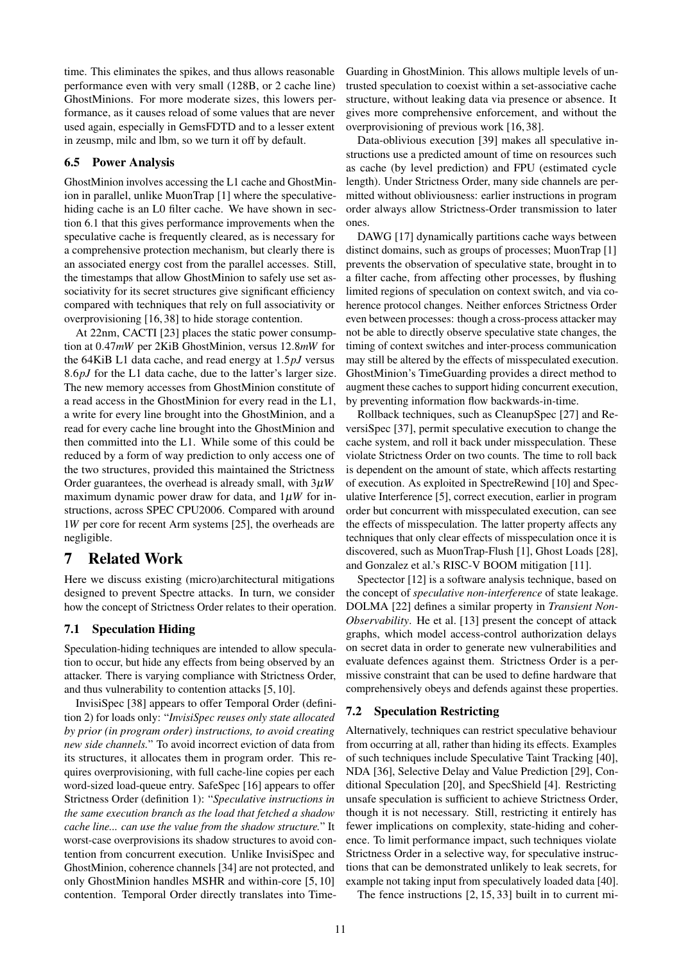time. This eliminates the spikes, and thus allows reasonable performance even with very small (128B, or 2 cache line) GhostMinions. For more moderate sizes, this lowers performance, as it causes reload of some values that are never used again, especially in GemsFDTD and to a lesser extent in zeusmp, milc and lbm, so we turn it off by default.

#### 6.5 Power Analysis

GhostMinion involves accessing the L1 cache and GhostMinion in parallel, unlike MuonTrap [1] where the speculativehiding cache is an L0 filter cache. We have shown in section 6.1 that this gives performance improvements when the speculative cache is frequently cleared, as is necessary for a comprehensive protection mechanism, but clearly there is an associated energy cost from the parallel accesses. Still, the timestamps that allow GhostMinion to safely use set associativity for its secret structures give significant efficiency compared with techniques that rely on full associativity or overprovisioning [16, 38] to hide storage contention.

At 22nm, CACTI [23] places the static power consumption at 0.47*mW* per 2KiB GhostMinion, versus 12.8*mW* for the 64KiB L1 data cache, and read energy at 1.5*pJ* versus 8.6*pJ* for the L1 data cache, due to the latter's larger size. The new memory accesses from GhostMinion constitute of a read access in the GhostMinion for every read in the L1, a write for every line brought into the GhostMinion, and a read for every cache line brought into the GhostMinion and then committed into the L1. While some of this could be reduced by a form of way prediction to only access one of the two structures, provided this maintained the Strictness Order guarantees, the overhead is already small, with 3µ*W* maximum dynamic power draw for data, and  $1\mu W$  for instructions, across SPEC CPU2006. Compared with around 1*W* per core for recent Arm systems [25], the overheads are negligible.

## 7 Related Work

Here we discuss existing (micro)architectural mitigations designed to prevent Spectre attacks. In turn, we consider how the concept of Strictness Order relates to their operation.

#### 7.1 Speculation Hiding

Speculation-hiding techniques are intended to allow speculation to occur, but hide any effects from being observed by an attacker. There is varying compliance with Strictness Order, and thus vulnerability to contention attacks [5, 10].

InvisiSpec [38] appears to offer Temporal Order (definition 2) for loads only: "*InvisiSpec reuses only state allocated by prior (in program order) instructions, to avoid creating new side channels.*" To avoid incorrect eviction of data from its structures, it allocates them in program order. This requires overprovisioning, with full cache-line copies per each word-sized load-queue entry. SafeSpec [16] appears to offer Strictness Order (definition 1): "*Speculative instructions in the same execution branch as the load that fetched a shadow cache line... can use the value from the shadow structure.*" It worst-case overprovisions its shadow structures to avoid contention from concurrent execution. Unlike InvisiSpec and GhostMinion, coherence channels [34] are not protected, and only GhostMinion handles MSHR and within-core [5, 10] contention. Temporal Order directly translates into TimeGuarding in GhostMinion. This allows multiple levels of untrusted speculation to coexist within a set-associative cache structure, without leaking data via presence or absence. It gives more comprehensive enforcement, and without the overprovisioning of previous work [16, 38].

Data-oblivious execution [39] makes all speculative instructions use a predicted amount of time on resources such as cache (by level prediction) and FPU (estimated cycle length). Under Strictness Order, many side channels are permitted without obliviousness: earlier instructions in program order always allow Strictness-Order transmission to later ones.

DAWG [17] dynamically partitions cache ways between distinct domains, such as groups of processes; MuonTrap [1] prevents the observation of speculative state, brought in to a filter cache, from affecting other processes, by flushing limited regions of speculation on context switch, and via coherence protocol changes. Neither enforces Strictness Order even between processes: though a cross-process attacker may not be able to directly observe speculative state changes, the timing of context switches and inter-process communication may still be altered by the effects of misspeculated execution. GhostMinion's TimeGuarding provides a direct method to augment these caches to support hiding concurrent execution, by preventing information flow backwards-in-time.

Rollback techniques, such as CleanupSpec [27] and ReversiSpec [37], permit speculative execution to change the cache system, and roll it back under misspeculation. These violate Strictness Order on two counts. The time to roll back is dependent on the amount of state, which affects restarting of execution. As exploited in SpectreRewind [10] and Speculative Interference [5], correct execution, earlier in program order but concurrent with misspeculated execution, can see the effects of misspeculation. The latter property affects any techniques that only clear effects of misspeculation once it is discovered, such as MuonTrap-Flush [1], Ghost Loads [28], and Gonzalez et al.'s RISC-V BOOM mitigation [11].

Spectector [12] is a software analysis technique, based on the concept of *speculative non-interference* of state leakage. DOLMA [22] defines a similar property in *Transient Non-Observability*. He et al. [13] present the concept of attack graphs, which model access-control authorization delays on secret data in order to generate new vulnerabilities and evaluate defences against them. Strictness Order is a permissive constraint that can be used to define hardware that comprehensively obeys and defends against these properties.

#### 7.2 Speculation Restricting

Alternatively, techniques can restrict speculative behaviour from occurring at all, rather than hiding its effects. Examples of such techniques include Speculative Taint Tracking [40], NDA [36], Selective Delay and Value Prediction [29], Conditional Speculation [20], and SpecShield [4]. Restricting unsafe speculation is sufficient to achieve Strictness Order, though it is not necessary. Still, restricting it entirely has fewer implications on complexity, state-hiding and coherence. To limit performance impact, such techniques violate Strictness Order in a selective way, for speculative instructions that can be demonstrated unlikely to leak secrets, for example not taking input from speculatively loaded data [40].

The fence instructions [2, 15, 33] built in to current mi-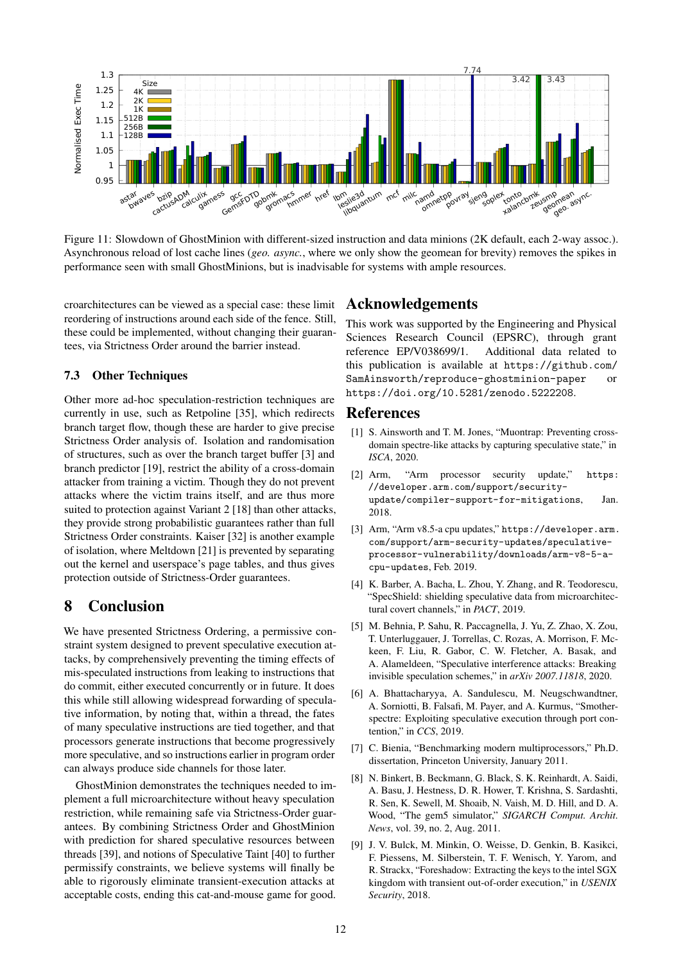

Figure 11: Slowdown of GhostMinion with different-sized instruction and data minions (2K default, each 2-way assoc.). Asynchronous reload of lost cache lines (*geo. async.*, where we only show the geomean for brevity) removes the spikes in performance seen with small GhostMinions, but is inadvisable for systems with ample resources.

croarchitectures can be viewed as a special case: these limit reordering of instructions around each side of the fence. Still, these could be implemented, without changing their guarantees, via Strictness Order around the barrier instead.

#### 7.3 Other Techniques

Other more ad-hoc speculation-restriction techniques are currently in use, such as Retpoline [35], which redirects branch target flow, though these are harder to give precise Strictness Order analysis of. Isolation and randomisation of structures, such as over the branch target buffer [3] and branch predictor [19], restrict the ability of a cross-domain attacker from training a victim. Though they do not prevent attacks where the victim trains itself, and are thus more suited to protection against Variant 2 [18] than other attacks, they provide strong probabilistic guarantees rather than full Strictness Order constraints. Kaiser [32] is another example of isolation, where Meltdown [21] is prevented by separating out the kernel and userspace's page tables, and thus gives protection outside of Strictness-Order guarantees.

## 8 Conclusion

We have presented Strictness Ordering, a permissive constraint system designed to prevent speculative execution attacks, by comprehensively preventing the timing effects of mis-speculated instructions from leaking to instructions that do commit, either executed concurrently or in future. It does this while still allowing widespread forwarding of speculative information, by noting that, within a thread, the fates of many speculative instructions are tied together, and that processors generate instructions that become progressively more speculative, and so instructions earlier in program order can always produce side channels for those later.

GhostMinion demonstrates the techniques needed to implement a full microarchitecture without heavy speculation restriction, while remaining safe via Strictness-Order guarantees. By combining Strictness Order and GhostMinion with prediction for shared speculative resources between threads [39], and notions of Speculative Taint [40] to further permissify constraints, we believe systems will finally be able to rigorously eliminate transient-execution attacks at acceptable costs, ending this cat-and-mouse game for good.

### Acknowledgements

This work was supported by the Engineering and Physical Sciences Research Council (EPSRC), through grant reference EP/V038699/1. Additional data related to this publication is available at https://github.com/ SamAinsworth/reproduce-ghostminion-paper or https://doi.org/10.5281/zenodo.5222208.

#### References

- [1] S. Ainsworth and T. M. Jones, "Muontrap: Preventing crossdomain spectre-like attacks by capturing speculative state," in *ISCA*, 2020.
- [2] Arm, "Arm processor security update," https: //developer.arm.com/support/securityupdate/compiler-support-for-mitigations, Jan. 2018.
- [3] Arm, "Arm v8.5-a cpu updates," https://developer.arm. com/support/arm-security-updates/speculativeprocessor-vulnerability/downloads/arm-v8-5-acpu-updates, Feb. 2019.
- [4] K. Barber, A. Bacha, L. Zhou, Y. Zhang, and R. Teodorescu, "SpecShield: shielding speculative data from microarchitectural covert channels," in *PACT*, 2019.
- [5] M. Behnia, P. Sahu, R. Paccagnella, J. Yu, Z. Zhao, X. Zou, T. Unterluggauer, J. Torrellas, C. Rozas, A. Morrison, F. Mckeen, F. Liu, R. Gabor, C. W. Fletcher, A. Basak, and A. Alameldeen, "Speculative interference attacks: Breaking invisible speculation schemes," in *arXiv 2007.11818*, 2020.
- [6] A. Bhattacharyya, A. Sandulescu, M. Neugschwandtner, A. Sorniotti, B. Falsafi, M. Payer, and A. Kurmus, "Smotherspectre: Exploiting speculative execution through port contention," in *CCS*, 2019.
- [7] C. Bienia, "Benchmarking modern multiprocessors," Ph.D. dissertation, Princeton University, January 2011.
- [8] N. Binkert, B. Beckmann, G. Black, S. K. Reinhardt, A. Saidi, A. Basu, J. Hestness, D. R. Hower, T. Krishna, S. Sardashti, R. Sen, K. Sewell, M. Shoaib, N. Vaish, M. D. Hill, and D. A. Wood, "The gem5 simulator," *SIGARCH Comput. Archit. News*, vol. 39, no. 2, Aug. 2011.
- [9] J. V. Bulck, M. Minkin, O. Weisse, D. Genkin, B. Kasikci, F. Piessens, M. Silberstein, T. F. Wenisch, Y. Yarom, and R. Strackx, "Foreshadow: Extracting the keys to the intel SGX kingdom with transient out-of-order execution," in *USENIX Security*, 2018.